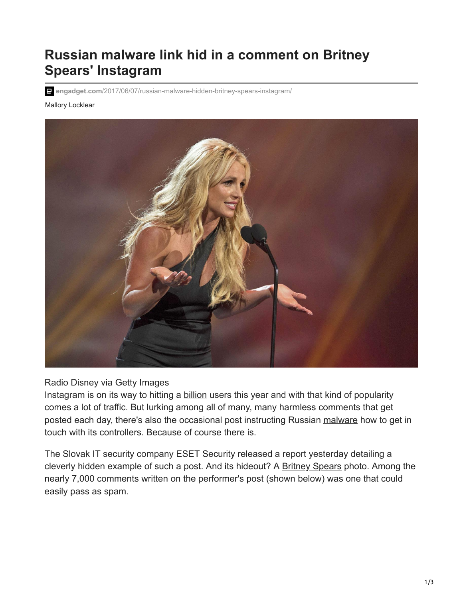## **Russian malware link hid in a comment on Britney Spears' Instagram**

**engadget.com**[/2017/06/07/russian-malware-hidden-britney-spears-instagram/](https://www.engadget.com/2017/06/07/russian-malware-hidden-britney-spears-instagram/)

Mallory Locklear



Radio Disney via Getty Images

Instagram is on its way to hitting a [billion](https://www.engadget.com/2017-04-26-700-million-people-are-using-instagram.html) users this year and with that kind of popularity comes a lot of traffic. But lurking among all of many, many harmless comments that get posted each day, there's also the occasional post instructing Russian [malware](https://www.engadget.com/2016-12-31-vermont-power-company-finds-malware-linked-to-russian-hackers.html) how to get in touch with its controllers. Because of course there is.

The Slovak IT security company ESET Security released a report yesterday detailing a cleverly hidden example of such a post. And its hideout? A [Britney Spears](https://www.engadget.com/2016-05-18-britney-spears-american-dream-mobile-game.html) photo. Among the nearly 7,000 comments written on the performer's post (shown below) was one that could easily pass as spam.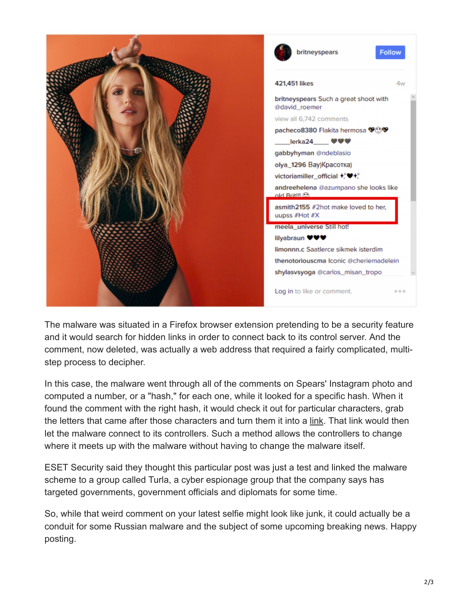

The malware was situated in a Firefox browser extension pretending to be a security feature and it would search for hidden links in order to connect back to its control server. And the comment, now deleted, was actually a web address that required a fairly complicated, multistep process to decipher.

In this case, the malware went through all of the comments on Spears' Instagram photo and computed a number, or a "hash," for each one, while it looked for a specific hash. When it found the comment with the right hash, it would check it out for particular characters, grab the letters that came after those characters and turn them it into a [link.](https://www.engadget.com/2016-04-15-short-url-weak-privacy.html) That link would then let the malware connect to its controllers. Such a method allows the controllers to change where it meets up with the malware without having to change the malware itself.

ESET Security said they thought this particular post was just a test and linked the malware scheme to a group called Turla, a cyber espionage group that the company says has targeted governments, government officials and diplomats for some time.

So, while that weird comment on your latest selfie might look like junk, it could actually be a conduit for some Russian malware and the subject of some upcoming breaking news. Happy posting.